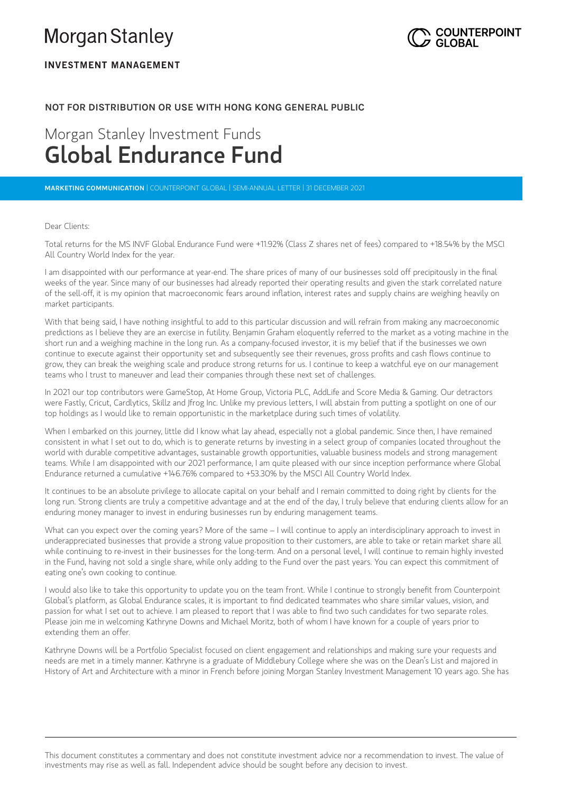# **Morgan Stanley**



# **INVESTMENT MANAGEMENT**

# **NOT FOR DISTRIBUTION OR USE WITH HONG KONG GENERAL PUBLIC**

# Morgan Stanley Investment Funds Global Endurance Fund

**MARKETING COMMUNICATION** |COUNTERPOINT GLOBAL | SEMI-ANNUAL LETTER | 31 DECEMBER 2021

## Dear Clients:

Total returns for the MS INVF Global Endurance Fund were +11.92% (Class Z shares net of fees) compared to +18.54% by the MSCI All Country World Index for the year. Dear Clients:<br>Total returns for the MS INVF Global Endurance Fund were +11.92% (Class Z shares net of fees) compared to +18.54% by the MSCI<br>All Country World Index for the year.<br>I am disappointed with our performance at ye

weeks of the year. Since many of our businesses had already reported their operating results and given the stark correlated nature Total returns for the MS INVF Global Endurance Fund were +11.92% (Class Z shares net of fees) compared to +18.54% by the MSC<br>All Country World Index for the year.<br>I am disappointed with our performance at year-end. The sha market participants.

With that being said, I have nothing insightful to add to this particular discussion and will refrain from making any macroeconomic predictions as I believe they are an exercise in futility. Benjamin Graham eloquently referred to the market as a voting machine in the short run and a weighing machine in the long run. As a company-focused investor, it is my belief that if the businesses we own continue to execute against their opportunity set and subsequently see their revenues, gross profits and cash flows continue to grow, they can break the weighing scale and produce strong returns for us. I continue to keep a watchful eye on our management teams who I trust to maneuver and lead their companies through these next set of challenges.

In 2021 our top contributors were GameStop, At Home Group, Victoria PLC, AddLife and Score Media & Gaming. Our detractors were Fastly, Cricut, Cardlytics, Skillz and Jfrog Inc. Unlike my previous letters, I will abstain from putting a spotlight on one of our top holdings as I would like to remain opportunistic in the marketplace during such times of volatility.

When I embarked on this journey, little did I know what lay ahead, especially not a global pandemic. Since then, I have remained consistent in what I set out to do, which is to generate returns by investing in a select group of companies located throughout the world with durable competitive advantages, sustainable growth opportunities, valuable business models and strong management teams. While I am disappointed with our 2021 performance, I am quite pleased with our since inception performance where Global Endurance returned a cumulative +146.76% compared to +53.30% by the MSCI All Country World Index.

It continues to be an absolute privilege to allocate capital on your behalf and I remain committed to doing right by clients for the long run. Strong clients are truly a competitive advantage and at the end of the day, I truly believe that enduring clients allow for an enduring money manager to invest in enduring businesses run by enduring management teams.

What can you expect over the coming years? More of the same – I will continue to apply an interdisciplinary approach to invest in underappreciated businesses that provide a strong value proposition to their customers, are able to take or retain market share all while continuing to re-invest in their businesses for the long-term. And on a personal level, I will continue to remain highly invested in the Fund, having not sold a single share, while only adding to the Fund over the past years. You can expect this commitment of eating one's own cooking to continue.

<sup>I</sup> would also like to take this opportunity to update you on the team front. While <sup>I</sup> continue to strongly benefit from Counterpoint I would also like to take this opportunity to update you on the team front. While I continue to strongly benefit from Counterpoi<br>Global's platform, as Global Endurance scales, it is important to find dedicated teammates wh i would also like to take this opportunity to update you on the team front. While I continue to strongly benent from Counterpo<br>Global's platform, as Global Endurance scales, it is important to find dedicated teammates who Please join me in welcoming Kathryne Downs and Michael Moritz, both of whom I have known for a couple of years prior to extending them an offer.

Kathryne Downs will be a Portfolio Specialist focused on client engagement and relationships and making sure your requests and needs are met in a timely manner. Kathryne is a graduate of Middlebury College where she was on the Dean's List and majored in History of Art and Architecture with a minor in French before joining Morgan Stanley Investment Management 10 years ago. She has

This document constitutes a commentary and does not constitute investment advice nor a recommendation to invest. The value of investments may rise as well as fall. Independent advice should be sought before any decision to invest.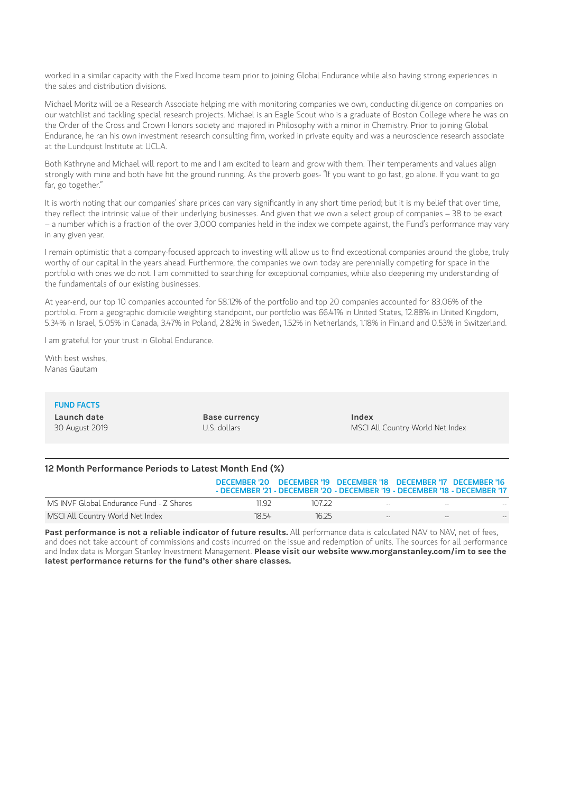worked in a similar capacity with the Fixed Income team prior to joining Global Endurance while also having strong experiences in the sales and distribution divisions.

Michael Moritz will be a Research Associate helping me with monitoring companies we own, conducting diligence on companies on our watchlist and tackling special research projects. Michael is an Eagle Scout who is a graduate of Boston College where he was on the Order of the Cross and Crown Honors society and majored in Philosophy with a minor in Chemistry. Prior to joining Global worked in a similar capacity with the Fixed Income team prior to joining Global Endurance while also having strong experiences in<br>the sales and distribution divisions.<br>Michael Moritz will be a Research Associate helping me at the Lundquist Institute at UCLA.

Both Kathryne and Michael will report to me and I am excited to learn and grow with them. Their temperaments and values align strongly with mine and both have hit the ground running. As the proverb goes- "If you want to go fast, go alone. If you want to go far, go together." It is worth noting that our companies' share prices can vary significantly in any short time period; but it is my belief that over time.<br>It is worth noting that our companies' share prices can vary significantly in any sho

they reflect the intrinsic value of their underlying businesses. And given that we own <sup>a</sup> select group of companies – <sup>38</sup> to be exact – a number which is a fraction of the over 3,000 companies held in the index we compete against, the Fund's performance may vary in any given year.

<sup>I</sup> remain optimistic that <sup>a</sup> company-focused approach to investing will allow us to find exceptional companies around the globe, truly worthy of our capital in the years ahead. Furthermore, the companies we own today are perennially competing for space in the portfolio with ones we do not. I am committed to searching for exceptional companies, while also deepening my understanding of the fundamentals of our existing businesses.

At year-end, our top 10 companies accounted for 58.12% of the portfolio and top 20 companies accounted for 83.06% of the portfolio. From a geographic domicile weighting standpoint, our portfolio was 66.41% in United States, 12.88% in United Kingdom, 5.34% in Israel, 5.05% in Canada, 3.47% in Poland, 2.82% in Sweden, 1.52% in Netherlands, 1.18% in Finland and 0.53% in Switzerland.

I am grateful for your trust in Global Endurance.

With best wishes, Manas Gautam

## FUND FACTS

**Launch date** 30 August 2019 **Base currency** U.S. dollars

**Index** MSCI All Country World Net Index

## **12 Month Performance Periods to Latest Month End (%)**

|                                          |       |        |            | DECEMBER '20 DECEMBER '19 DECEMBER '18 DECEMBER '17 DECEMBER '16<br>- DECEMBER '21 - DECEMBER '20 - DECEMBER '19 - DECEMBER '18 - DECEMBER '17 |
|------------------------------------------|-------|--------|------------|------------------------------------------------------------------------------------------------------------------------------------------------|
| MS INVF Global Endurance Fund - Z Shares | 11 92 | 107.22 | $-$        | $\sim$<br>$-$                                                                                                                                  |
| MSCI All Country World Net Index         | 1854  | 16.25  | $\sim$ $-$ | $- -$<br>$\qquad \qquad -$                                                                                                                     |

**Past performance is not a reliable indicator of future results.** All performance data is calculated NAV to NAV, net of fees, and does not take account of commissions and costs incurred on the issue and redemption of units. The sources for all performance and Index data is Morgan Stanley Investment Management. **Please visit our website www.morganstanley.com/im to see the latest performance returns for the fund's other share classes.**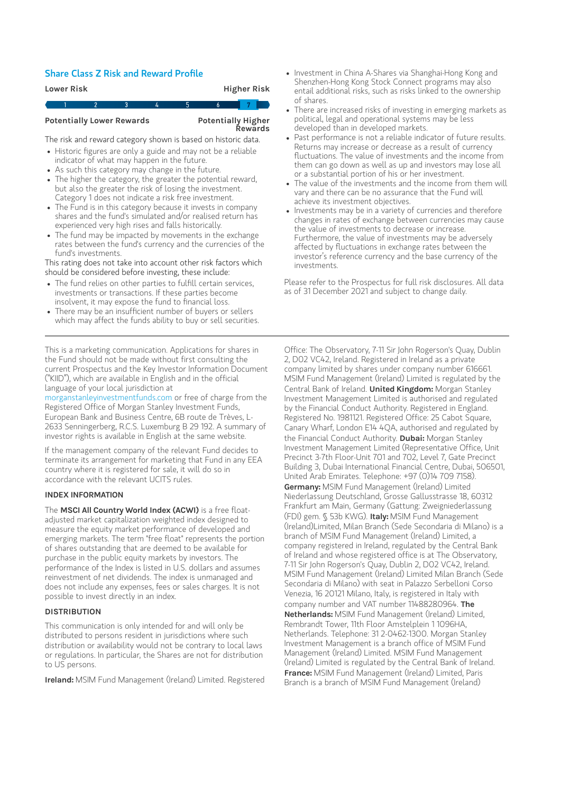# Share Class <sup>Z</sup> Risk and Reward Profile

| <b>Higher Risk</b><br>Lower Risk                                  |  |  |   |    |    |   |  |  |
|-------------------------------------------------------------------|--|--|---|----|----|---|--|--|
|                                                                   |  |  | 3 | Ι4 | .5 | 6 |  |  |
| <b>Potentially Lower Rewards</b><br>Potentially Higher<br>Rewards |  |  |   |    |    |   |  |  |
| The risk and reward category shown is based on historic data.     |  |  |   |    |    |   |  |  |
| • Historic figures are only a guide and may not be a reliable     |  |  |   |    |    |   |  |  |

## **Potentially Lower Rewards**

# **Potentially Higher<br>Rewards**

- indicator of what may happen in the future.
- As such this category may change in the future.
- The higher the category, the greater the potential reward, but also the greater the risk of losing the investment. Category 1 does not indicate a risk free investment.
- The Fund is in this category because it invests in company shares and the fund's simulated and/or realised return has experienced very high rises and falls historically.
- The fund may be impacted by movements in the exchange rates between the fund's currency and the currencies of the fund's investments. Experienced very ingerises and radis instendaty.<br>The fund may be impacted by movements in the exchangerates between the fund's currency and the currencies of t<br>fund's investments.<br>Si rating does not take into account other

This rating does not take into account other risk factors which should be considered before investing, these include:

- investments or transactions. If these parties become insolvent, it may expose the fund to financial loss. fund's investments.<br>Is rating does not take into account other risk factor in the considered before investing, these include:<br>The fund relies on other parties to fulfill certain se<br>investments or transactions. If these par is rating does not take into account other risk factors whice<br>suid be considered before investing, these include:<br>The fund relies on other parties to fulfill certain services,<br>investments or transactions. If these parties
- which may affect the funds ability to buy or sell securities.

This is a marketing communication. Applications for shares in the Fund should not be made without first consulting the current Prospectus and the Key Investor Information Document ("KIID"), which are available in English and in the official language of your local jurisdiction at

[morganstanleyinvestmentfunds.com](https://www.morganstanley.com/im/msinvf/index.html) or free of charge from the Registered Office of Morgan Stanley Investment Funds, European Bank and Business Centre, 6B route de Trèves, L-2633 Senningerberg, R.C.S. Luxemburg B 29 192. A summary of investor rights is available in English at the same website.

If the management company of the relevant Fund decides to terminate its arrangement for marketing that Fund in any EEA country where it is registered for sale, it will do so in accordance with the relevant UCITS rules.

### **INDEX INFORMATION**

The **MSCI All Country World Index (ACWI)** is a free floatadjusted market capitalization weighted index designed to measure the equity market performance of developed and emerging markets. The term "free float" represents the portion of shares outstanding that are deemed to be available for purchase in the public equity markets by investors. The performance of the Index is listed in U.S. dollars and assumes reinvestment of net dividends. The index is unmanaged and does not include any expenses, fees or sales charges. It is not possible to invest directly in an index.

### **DISTRIBUTION**

This communication is only intended for and will only be distributed to persons resident in jurisdictions where such distribution or availability would not be contrary to local laws or regulations. In particular, the Shares are not for distribution to US persons.

**Ireland:** MSIM Fund Management (Ireland) Limited. Registered

- Investment in China A-Shares via Shanghai-Hong Kong and Shenzhen-Hong Kong Stock Connect programs may also of shares.
- There are increased risks of investing in emerging markets as political, legal and operational systems may be less developed than in developed markets.
- entail additional risks, such as risks linked to the ownership<br>of shares.<br>There are increased risks of investing in emerging markets as<br>political, legal and operational systems may be less<br>developed than in developed marke Past performance is not a reliable indicator of future results. Returns may increase or decrease as a result of currency<br>fluctuations. The value of investments and the income from them can go down as well as up and investors may lose all or a substantial portion of his or her investment.
- The value of the investments and the income from them will vary and there can be no assurance that the Fund will achieve its investment objectives.
- Investments may be in a variety of currencies and therefore changes in rates of exchange between currencies may cause the value of investments to decrease or increase. Furthermore, the value of investments may be adversely affected by fluctuations in exchange rates between the vary and there can be no assurance that the Fund will<br>achieve its investment objectives.<br>Investments may be in a variety of currencies and theref<br>changes in rates of exchange between currencies may ca<br>the value of investme investor's reference currency and the base currency of the investments.

Please refer to the Prospectus for full risk disclosures. All data as of 31 December 2021 and subject to change daily.

Office: The Observatory, 7-11 Sir John Rogerson's Quay, Dublin 2, D02 VC42, Ireland. Registered in Ireland as a private company limited by shares under company number 616661. MSIM Fund Management (Ireland) Limited is regulated by the Central Bank of Ireland. **United Kingdom:** Morgan Stanley Investment Management Limited is authorised and regulated by the Financial Conduct Authority. Registered in England. Registered No. 1981121. Registered Office: 25 Cabot Square, Canary Wharf, London E14 4QA, authorised and regulated by the Financial Conduct Authority. **Dubai:** Morgan Stanley Investment Management Limited (Representative Office, Unit Precinct 3-7th Floor-Unit 701 and 702, Level 7, Gate Precinct Building 3, Dubai International Financial Centre, Dubai, 506501, United Arab Emirates. Telephone: +97 (0)14 709 7158). **Germany:** MSIM Fund Management (Ireland) Limited Niederlassung Deutschland, Grosse Gallusstrasse 18, 60312 Frankfurt am Main, Germany (Gattung: Zweigniederlassung (FDI) gem. § 53b KWG). **Italy:** MSIM Fund Management (Ireland)Limited, Milan Branch (Sede Secondaria di Milano) is a branch of MSIM Fund Management (Ireland) Limited, a company registered in Ireland, regulated by the Central Bank of Ireland and whose registered office is at The Observatory, 7-11 Sir John Rogerson's Quay, Dublin 2, D02 VC42, Ireland. MSIM Fund Management (Ireland) Limited Milan Branch (Sede Secondaria di Milano) with seat in Palazzo Serbelloni Corso Venezia, 16 20121 Milano, Italy, is registered in Italy with company number and VAT number 11488280964. **The Netherlands:** MSIM Fund Management (Ireland) Limited, Rembrandt Tower, 11th Floor Amstelplein 1 1096HA, Netherlands. Telephone: 31 2-0462-1300. Morgan Stanley Investment Management is a branch office of MSIM Fund Management (Ireland) Limited. MSIM Fund Management (Ireland) Limited is regulated by the Central Bank of Ireland. **France:** MSIM Fund Management (Ireland) Limited, Paris Branch is a branch of MSIM Fund Management (Ireland)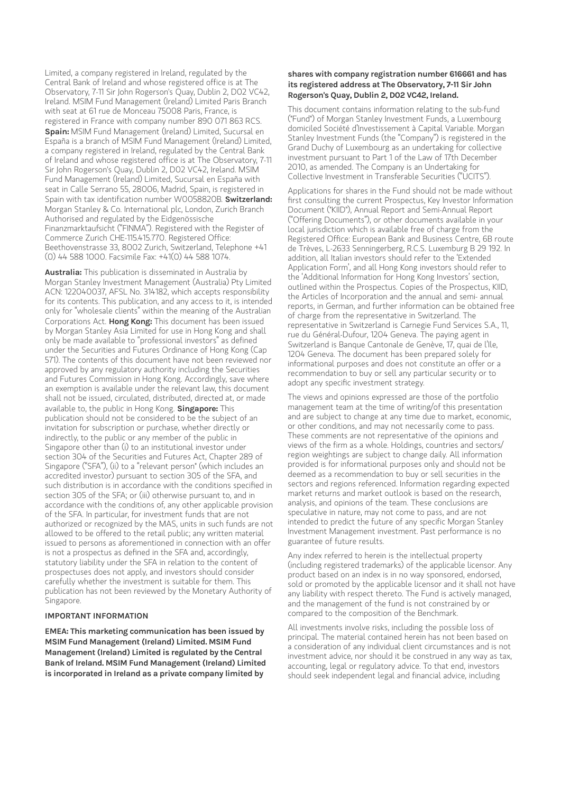Limited, a company registered in Ireland, regulated by the Central Bank of Ireland and whose registered office is at The Observatory, 7-11 Sir John Rogerson's Quay, Dublin 2, D02 VC42, Ireland. MSIM Fund Management (Ireland) Limited Paris Branch with seat at 61 rue de Monceau 75008 Paris, France, is registered in France with company number 890 071 863 RCS. **Spain:** MSIM Fund Management (Ireland) Limited, Sucursal en España is a branch of MSIM Fund Management (Ireland) Limited, a company registered in Ireland, regulated by the Central Bank of Ireland and whose registered office is at The Observatory, 7-11 Sir John Rogerson's Quay, Dublin 2, D02 VC42, Ireland. MSIM Fund Management (Ireland) Limited, Sucursal en España with seat in Calle Serrano 55, 28006, Madrid, Spain, is registered in Spain with tax identification number W0058820B. **Switzerland:** Morgan Stanley & Co. International plc, London, Zurich Branch Authorised and regulated by the Eidgenössische Finanzmarktaufsicht ("FINMA"). Registered with the Register of Commerce Zurich CHE-115.415.770. Registered Office: Beethovenstrasse 33, 8002 Zurich, Switzerland, Telephone +41 (0) 44 588 1000. Facsimile Fax: +41(0) 44 588 1074.

**Australia:** This publication is disseminated in Australia by Morgan Stanley Investment Management (Australia) Pty Limited ACN: 122040037, AFSL No. 314182, which accepts responsibility for its contents. This publication, and any access to it, is intended only for "wholesale clients" within the meaning of the Australian Corporations Act. **Hong Kong:** This document has been issued by Morgan Stanley Asia Limited for use in Hong Kong and shall only be made available to "professional investors" as defined under the Securities and Futures Ordinance of Hong Kong (Cap 571). The contents of this document have not been reviewed nor approved by any regulatory authority including the Securities and Futures Commission in Hong Kong. Accordingly, save where an exemption is available under the relevant law, this document shall not be issued, circulated, distributed, directed at, or made available to, the public in Hong Kong. **Singapore:** This publication should not be considered to be the subject of an invitation for subscription or purchase, whether directly or indirectly, to the public or any member of the public in Singapore other than (i) to an institutional investor under section 304 of the Securities and Futures Act, Chapter 289 of Singapore ("SFA"), (ii) to a "relevant person" (which includes an accredited investor) pursuant to section 305 of the SFA, and such distribution is in accordance with the conditions specified in section 305 of the SFA; or (iii) otherwise pursuant to, and in accordance with the conditions of, any other applicable provision of the SFA. In particular, for investment funds that are not authorized or recognized by the MAS, units in such funds are not allowed to be offered to the retail public; any written material issued to persons as aforementioned in connection with an offer is not a prospectus as defined in the SFA and, accordingly, statutory liability under the SFA in relation to the content of prospectuses does not apply, and investors should consider carefully whether the investment is suitable for them. This publication has not been reviewed by the Monetary Authority of Singapore.

### **IMPORTANT INFORMATION**

**EMEA: This marketing communication has been issued by MSIM Fund Management (Ireland) Limited. MSIM Fund Management (Ireland) Limited is regulated by the Central Bank of Ireland. MSIM Fund Management (Ireland) Limited is incorporated in Ireland as a private company limited by**

#### **shares with company registration number 616661 and has its registered address at The Observatory, 7-11 Sir John Rogerson's Quay, Dublin 2, D02 VC42, Ireland.**

This document contains information relating to the sub-fund ("Fund") of Morgan Stanley Investment Funds, a Luxembourg domiciled Société d'Investissement à Capital Variable. Morgan Stanley Investment Funds (the "Company") is registered in the Grand Duchy of Luxembourg as an undertaking for collective investment pursuant to Part 1 of the Law of 17th December 2010, as amended. The Company is an Undertaking for Collective Investment in Transferable Securities ("UCITS").

Applications for shares in the Fund should not be made without first consulting the current Prospectus, Key Investor Information Document ("KIID"), Annual Report and Semi-Annual Report ("Offering Documents"), or other documents available in your local jurisdiction which is available free of charge from the Registered Office: European Bank and Business Centre, 6B route de Trèves, L-2633 Senningerberg, R.C.S. Luxemburg B 29 192. In addition, all Italian investors should refer to the 'Extended Application Form', and all Hong Kong investors should refer to the 'Additional Information for Hong Kong Investors' section, outlined within the Prospectus. Copies of the Prospectus, KIID, the Articles of Incorporation and the annual and semi- annual reports, in German, and further information can be obtained free of charge from the representative in Switzerland. The representative in Switzerland is Carnegie Fund Services S.A., 11, rue du Général-Dufour, 1204 Geneva. The paying agent in Switzerland is Banque Cantonale de Genève, 17, quai de l'Ile, 1204 Geneva. The document has been prepared solely for informational purposes and does not constitute an offer or a recommendation to buy or sell any particular security or to adopt any specific investment strategy.

The views and opinions expressed are those of the portfolio management team at the time of writing/of this presentation and are subject to change at any time due to market, economic, or other conditions, and may not necessarily come to pass. These comments are not representative of the opinions and views of the firm as a whole. Holdings, countries and sectors/ region weightings are subject to change daily. All information provided is for informational purposes only and should not be deemed as a recommendation to buy or sell securities in the sectors and regions referenced. Information regarding expected market returns and market outlook is based on the research, analysis, and opinions of the team. These conclusions are speculative in nature, may not come to pass, and are not intended to predict the future of any specific Morgan Stanley Investment Management investment. Past performance is no guarantee of future results.

Any index referred to herein is the intellectual property (including registered trademarks) of the applicable licensor. Any product based on an index is in no way sponsored, endorsed, sold or promoted by the applicable licensor and it shall not have any liability with respect thereto. The Fund is actively managed, and the management of the fund is not constrained by or compared to the composition of the Benchmark.

All investments involve risks, including the possible loss of principal. The material contained herein has not been based on a consideration of any individual client circumstances and is not investment advice, nor should it be construed in any way as tax, accounting, legal or regulatory advice. To that end, investors should seek independent legal and financial advice, including